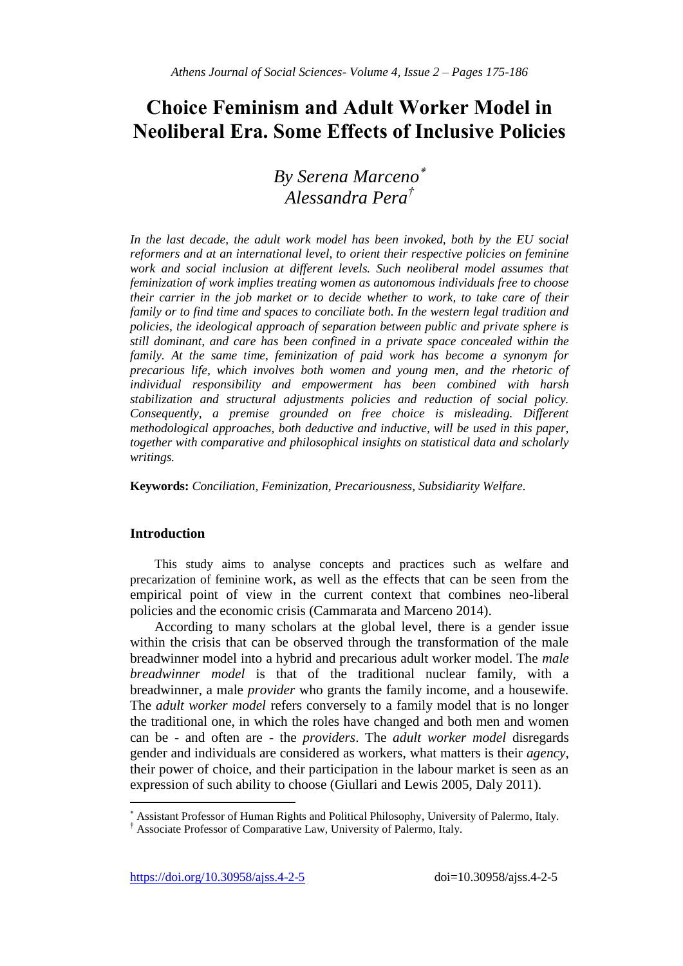# **Choice Feminism and Adult Worker Model in Neoliberal Era. Some Effects of Inclusive Policies**

## *By Serena Marceno Alessandra Pera†*

In the last decade, the adult work model has been invoked, both by the EU social *reformers and at an international level, to orient their respective policies on feminine*  work and social inclusion at different levels. Such neoliberal model assumes that *feminization of work implies treating women as autonomous individuals free to choose their carrier in the job market or to decide whether to work, to take care of their family or to find time and spaces to conciliate both. In the western legal tradition and policies, the ideological approach of separation between public and private sphere is still dominant, and care has been confined in a private space concealed within the family. At the same time, feminization of paid work has become a synonym for precarious life, which involves both women and young men, and the rhetoric of individual responsibility and empowerment has been combined with harsh stabilization and structural adjustments policies and reduction of social policy. Consequently, a premise grounded on free choice is misleading. Different methodological approaches, both deductive and inductive, will be used in this paper, together with comparative and philosophical insights on statistical data and scholarly writings.*

**Keywords:** *Conciliation, Feminization, Precariousness, Subsidiarity Welfare.*

### **Introduction**

 $\overline{\phantom{a}}$ 

This study aims to analyse concepts and practices such as welfare and precarization of feminine work, as well as the effects that can be seen from the empirical point of view in the current context that combines neo-liberal policies and the economic crisis (Cammarata and Marceno 2014).

According to many scholars at the global level, there is a gender issue within the crisis that can be observed through the transformation of the male breadwinner model into a hybrid and precarious adult worker model. The *male breadwinner model* is that of the traditional nuclear family, with a breadwinner, a male *provider* who grants the family income, and a housewife. The *adult worker model* refers conversely to a family model that is no longer the traditional one, in which the roles have changed and both men and women can be - and often are - the *providers*. The *adult worker model* disregards gender and individuals are considered as workers, what matters is their *agency*, their power of choice, and their participation in the labour market is seen as an expression of such ability to choose (Giullari and Lewis 2005, Daly 2011).

Assistant Professor of Human Rights and Political Philosophy, University of Palermo, Italy.

<sup>†</sup> Associate Professor of Comparative Law, University of Palermo, Italy.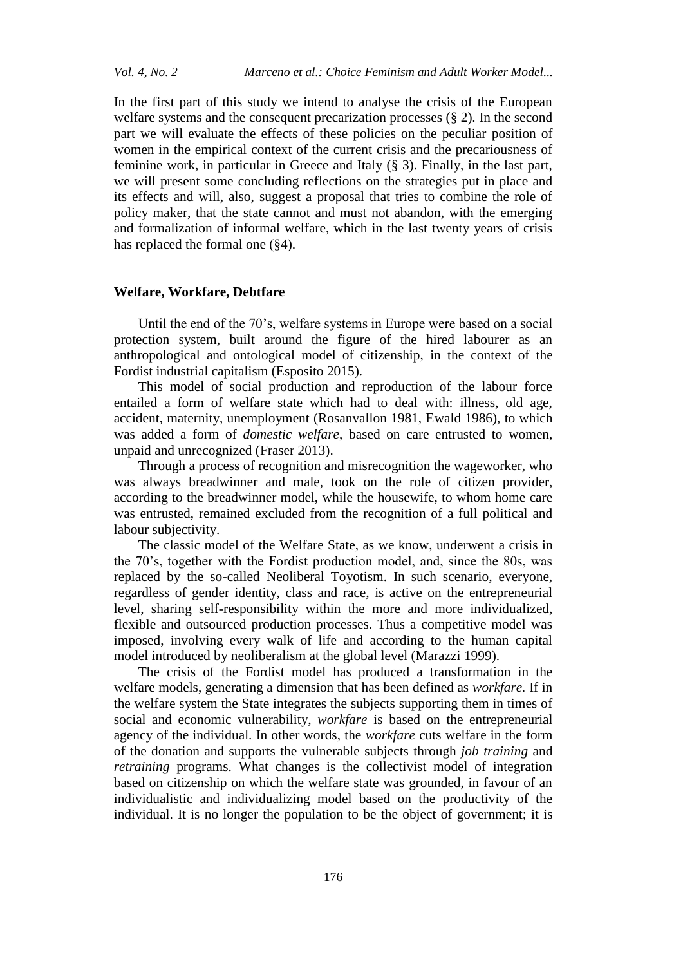In the first part of this study we intend to analyse the crisis of the European welfare systems and the consequent precarization processes (§ 2). In the second part we will evaluate the effects of these policies on the peculiar position of women in the empirical context of the current crisis and the precariousness of feminine work, in particular in Greece and Italy (§ 3). Finally, in the last part, we will present some concluding reflections on the strategies put in place and its effects and will, also, suggest a proposal that tries to combine the role of policy maker, that the state cannot and must not abandon, with the emerging and formalization of informal welfare, which in the last twenty years of crisis has replaced the formal one (§4).

#### **Welfare, Workfare, Debtfare**

Until the end of the 70's, welfare systems in Europe were based on a social protection system, built around the figure of the hired labourer as an anthropological and ontological model of citizenship, in the context of the Fordist industrial capitalism (Esposito 2015).

This model of social production and reproduction of the labour force entailed a form of welfare state which had to deal with: illness, old age, accident, maternity, unemployment (Rosanvallon 1981, Ewald 1986), to which was added a form of *domestic welfare*, based on care entrusted to women, unpaid and unrecognized (Fraser 2013).

Through a process of recognition and misrecognition the wageworker, who was always breadwinner and male, took on the role of citizen provider, according to the breadwinner model, while the housewife, to whom home care was entrusted, remained excluded from the recognition of a full political and labour subjectivity.

The classic model of the Welfare State, as we know, underwent a crisis in the 70's, together with the Fordist production model, and, since the 80s, was replaced by the so-called Neoliberal Toyotism. In such scenario, everyone, regardless of gender identity, class and race, is active on the entrepreneurial level, sharing self-responsibility within the more and more individualized, flexible and outsourced production processes. Thus a competitive model was imposed, involving every walk of life and according to the human capital model introduced by neoliberalism at the global level (Marazzi 1999).

The crisis of the Fordist model has produced a transformation in the welfare models, generating a dimension that has been defined as *workfare.* If in the welfare system the State integrates the subjects supporting them in times of social and economic vulnerability, *workfare* is based on the entrepreneurial agency of the individual. In other words, the *workfare* cuts welfare in the form of the donation and supports the vulnerable subjects through *job training* and *retraining* programs. What changes is the collectivist model of integration based on citizenship on which the welfare state was grounded, in favour of an individualistic and individualizing model based on the productivity of the individual. It is no longer the population to be the object of government; it is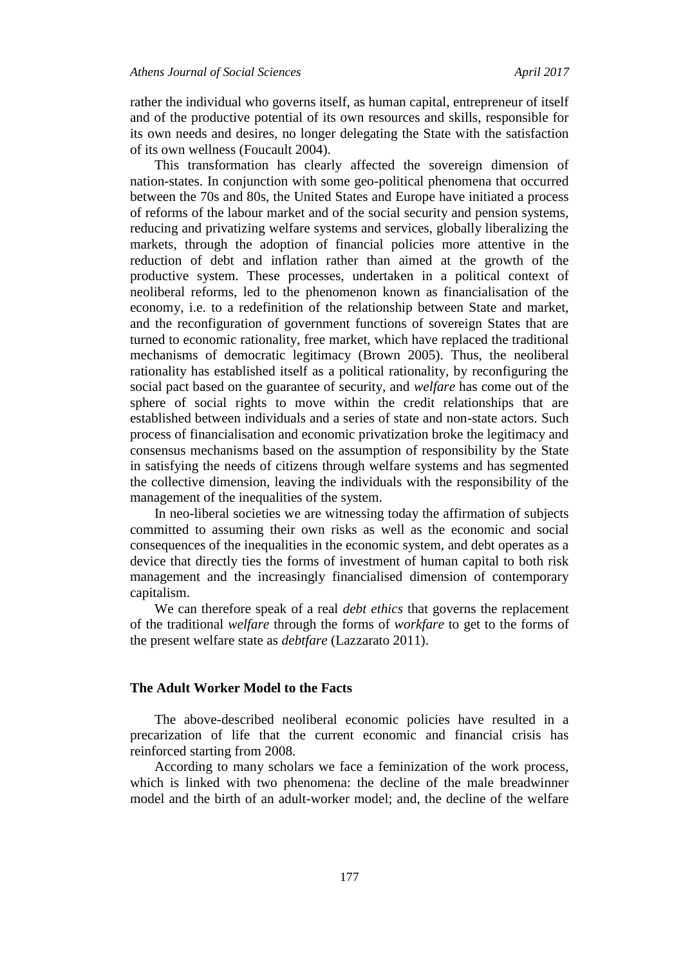rather the individual who governs itself, as human capital, entrepreneur of itself and of the productive potential of its own resources and skills, responsible for its own needs and desires, no longer delegating the State with the satisfaction of its own wellness (Foucault 2004).

This transformation has clearly affected the sovereign dimension of nation-states. In conjunction with some geo-political phenomena that occurred between the 70s and 80s, the United States and Europe have initiated a process of reforms of the labour market and of the social security and pension systems, reducing and privatizing welfare systems and services, globally liberalizing the markets, through the adoption of financial policies more attentive in the reduction of debt and inflation rather than aimed at the growth of the productive system. These processes, undertaken in a political context of neoliberal reforms, led to the phenomenon known as financialisation of the economy, i.e. to a redefinition of the relationship between State and market, and the reconfiguration of government functions of sovereign States that are turned to economic rationality, free market, which have replaced the traditional mechanisms of democratic legitimacy (Brown 2005). Thus, the neoliberal rationality has established itself as a political rationality, by reconfiguring the social pact based on the guarantee of security, and *welfare* has come out of the sphere of social rights to move within the credit relationships that are established between individuals and a series of state and non-state actors. Such process of financialisation and economic privatization broke the legitimacy and consensus mechanisms based on the assumption of responsibility by the State in satisfying the needs of citizens through welfare systems and has segmented the collective dimension, leaving the individuals with the responsibility of the management of the inequalities of the system.

In neo-liberal societies we are witnessing today the affirmation of subjects committed to assuming their own risks as well as the economic and social consequences of the inequalities in the economic system, and debt operates as a device that directly ties the forms of investment of human capital to both risk management and the increasingly financialised dimension of contemporary capitalism.

We can therefore speak of a real *debt ethics* that governs the replacement of the traditional *welfare* through the forms of *workfare* to get to the forms of the present welfare state as *debtfare* (Lazzarato 2011).

#### **The Adult Worker Model to the Facts**

The above-described neoliberal economic policies have resulted in a precarization of life that the current economic and financial crisis has reinforced starting from 2008.

According to many scholars we face a feminization of the work process, which is linked with two phenomena: the decline of the male breadwinner model and the birth of an adult-worker model; and, the decline of the welfare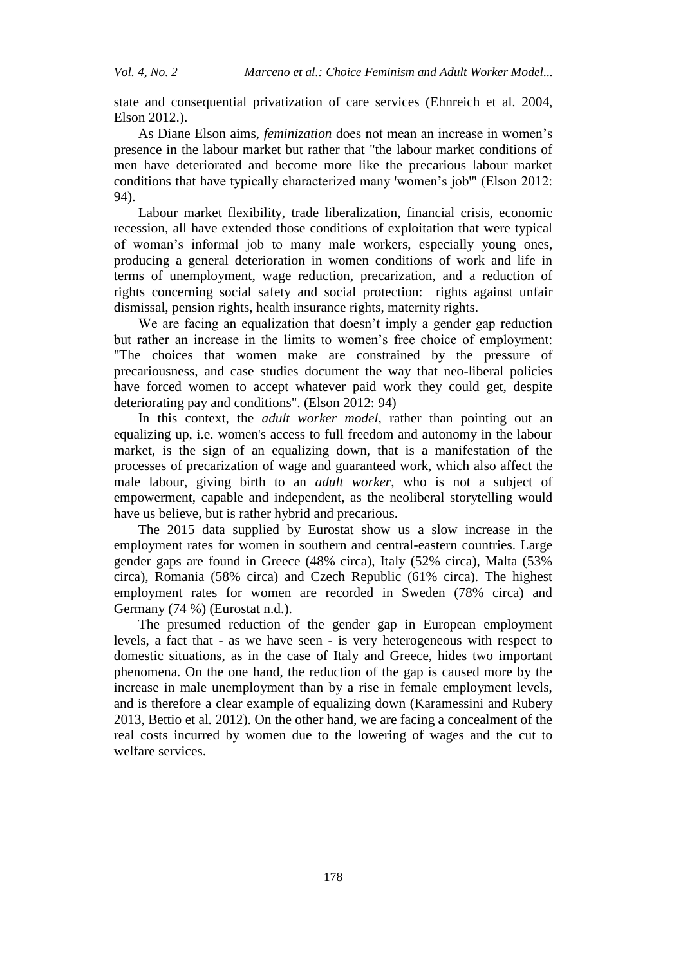state and consequential privatization of care services (Ehnreich et al. 2004, Elson 2012.).

As Diane Elson aims, *feminization* does not mean an increase in women's presence in the labour market but rather that "the labour market conditions of men have deteriorated and become more like the precarious labour market conditions that have typically characterized many 'women's job'" (Elson 2012: 94).

Labour market flexibility, trade liberalization, financial crisis, economic recession, all have extended those conditions of exploitation that were typical of woman's informal job to many male workers, especially young ones, producing a general deterioration in women conditions of work and life in terms of unemployment, wage reduction, precarization, and a reduction of rights concerning social safety and social protection: rights against unfair dismissal, pension rights, health insurance rights, maternity rights.

We are facing an equalization that doesn't imply a gender gap reduction but rather an increase in the limits to women's free choice of employment: "The choices that women make are constrained by the pressure of precariousness, and case studies document the way that neo-liberal policies have forced women to accept whatever paid work they could get, despite deteriorating pay and conditions". (Elson 2012: 94)

In this context, the *adult worker model*, rather than pointing out an equalizing up, i.e. women's access to full freedom and autonomy in the labour market, is the sign of an equalizing down, that is a manifestation of the processes of precarization of wage and guaranteed work, which also affect the male labour, giving birth to an *adult worker*, who is not a subject of empowerment, capable and independent, as the neoliberal storytelling would have us believe, but is rather hybrid and precarious.

The 2015 data supplied by Eurostat show us a slow increase in the employment rates for women in southern and central-eastern countries. Large gender gaps are found in Greece (48% circa), Italy (52% circa), Malta (53% circa), Romania (58% circa) and Czech Republic (61% circa). The highest employment rates for women are recorded in Sweden (78% circa) and Germany (74 %) (Eurostat n.d.).

The presumed reduction of the gender gap in European employment levels, a fact that - as we have seen - is very heterogeneous with respect to domestic situations, as in the case of Italy and Greece, hides two important phenomena. On the one hand, the reduction of the gap is caused more by the increase in male unemployment than by a rise in female employment levels, and is therefore a clear example of equalizing down (Karamessini and Rubery 2013, Bettio et al*.* 2012). On the other hand, we are facing a concealment of the real costs incurred by women due to the lowering of wages and the cut to welfare services.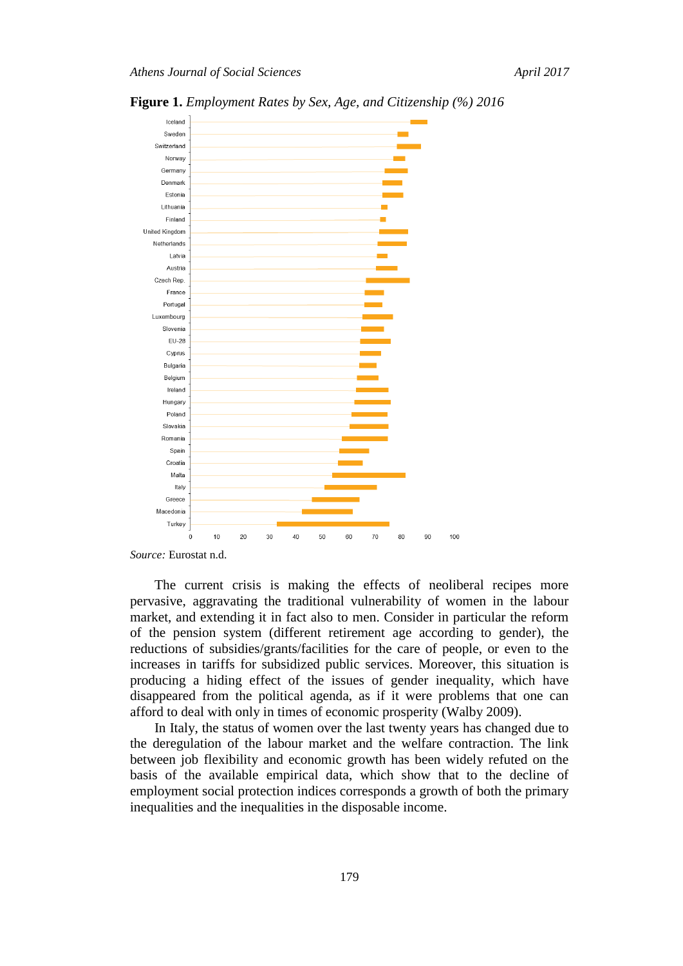

**Figure 1.** *Employment Rates by Sex, Age, and Citizenship (%) 2016*

*Source:* Eurostat n.d.

The current crisis is making the effects of neoliberal recipes more pervasive, aggravating the traditional vulnerability of women in the labour market, and extending it in fact also to men. Consider in particular the reform of the pension system (different retirement age according to gender), the reductions of subsidies/grants/facilities for the care of people, or even to the increases in tariffs for subsidized public services. Moreover, this situation is producing a hiding effect of the issues of gender inequality, which have disappeared from the political agenda, as if it were problems that one can afford to deal with only in times of economic prosperity (Walby 2009).

100

In Italy, the status of women over the last twenty years has changed due to the deregulation of the labour market and the welfare contraction. The link between job flexibility and economic growth has been widely refuted on the basis of the available empirical data, which show that to the decline of employment social protection indices corresponds a growth of both the primary inequalities and the inequalities in the disposable income.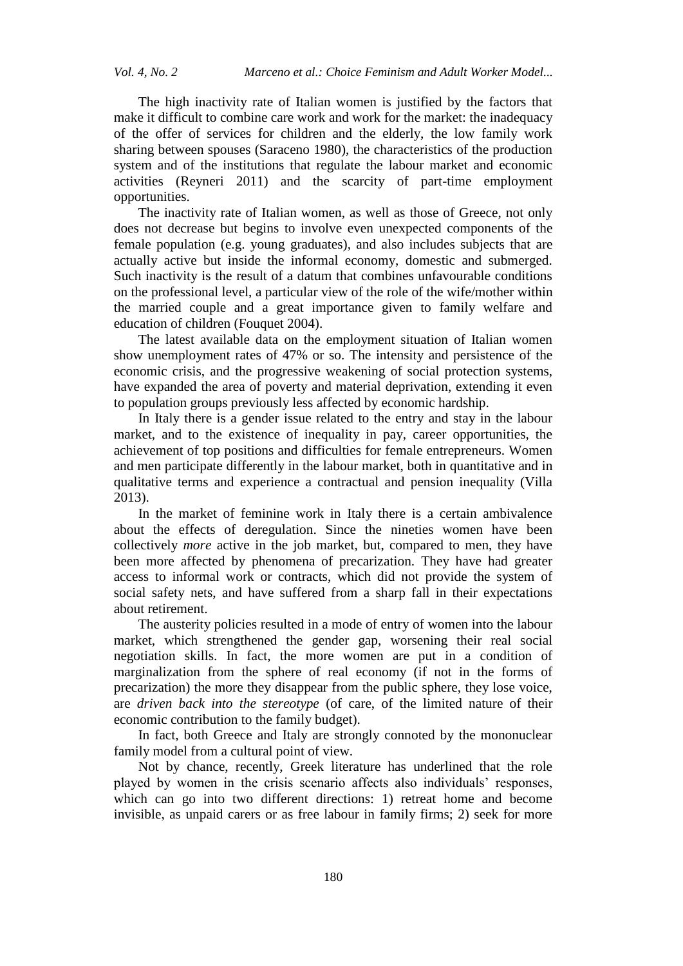The high inactivity rate of Italian women is justified by the factors that make it difficult to combine care work and work for the market: the inadequacy of the offer of services for children and the elderly, the low family work sharing between spouses (Saraceno 1980), the characteristics of the production system and of the institutions that regulate the labour market and economic activities (Reyneri 2011) and the scarcity of part-time employment opportunities.

The inactivity rate of Italian women, as well as those of Greece, not only does not decrease but begins to involve even unexpected components of the female population (e.g. young graduates), and also includes subjects that are actually active but inside the informal economy, domestic and submerged. Such inactivity is the result of a datum that combines unfavourable conditions on the professional level, a particular view of the role of the wife/mother within the married couple and a great importance given to family welfare and education of children (Fouquet 2004).

The latest available data on the employment situation of Italian women show unemployment rates of 47% or so. The intensity and persistence of the economic crisis, and the progressive weakening of social protection systems, have expanded the area of poverty and material deprivation, extending it even to population groups previously less affected by economic hardship.

In Italy there is a gender issue related to the entry and stay in the labour market, and to the existence of inequality in pay, career opportunities, the achievement of top positions and difficulties for female entrepreneurs. Women and men participate differently in the labour market, both in quantitative and in qualitative terms and experience a contractual and pension inequality (Villa 2013).

In the market of feminine work in Italy there is a certain ambivalence about the effects of deregulation. Since the nineties women have been collectively *more* active in the job market, but, compared to men, they have been more affected by phenomena of precarization. They have had greater access to informal work or contracts, which did not provide the system of social safety nets, and have suffered from a sharp fall in their expectations about retirement.

The austerity policies resulted in a mode of entry of women into the labour market, which strengthened the gender gap, worsening their real social negotiation skills. In fact, the more women are put in a condition of marginalization from the sphere of real economy (if not in the forms of precarization) the more they disappear from the public sphere, they lose voice, are *driven back into the stereotype* (of care, of the limited nature of their economic contribution to the family budget).

In fact, both Greece and Italy are strongly connoted by the mononuclear family model from a cultural point of view.

Not by chance, recently, Greek literature has underlined that the role played by women in the crisis scenario affects also individuals' responses, which can go into two different directions: 1) retreat home and become invisible, as unpaid carers or as free labour in family firms; 2) seek for more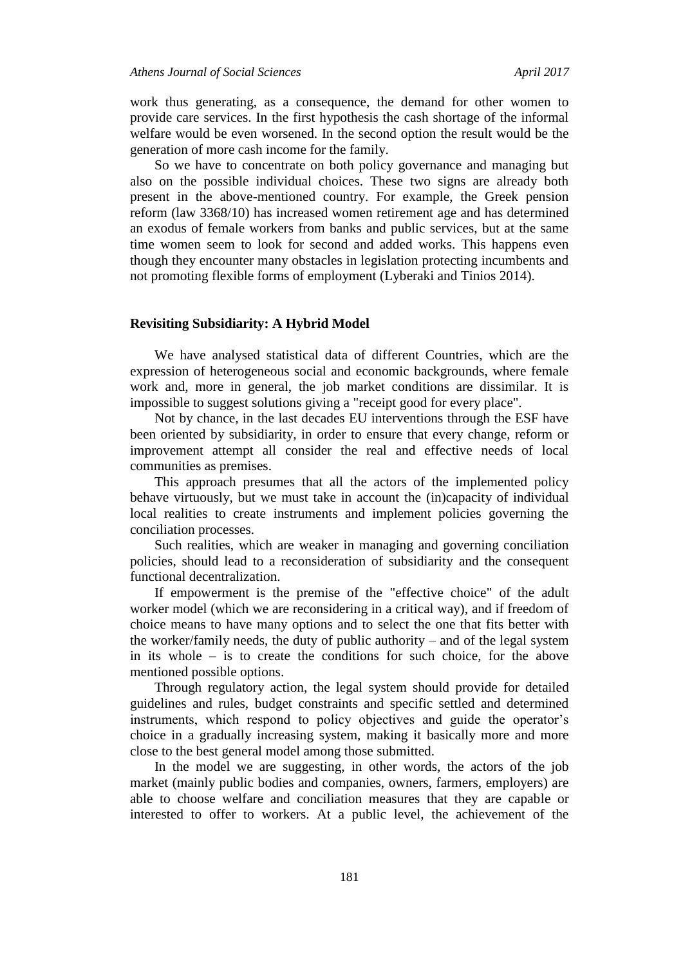work thus generating, as a consequence, the demand for other women to provide care services. In the first hypothesis the cash shortage of the informal welfare would be even worsened. In the second option the result would be the generation of more cash income for the family.

So we have to concentrate on both policy governance and managing but also on the possible individual choices. These two signs are already both present in the above-mentioned country. For example, the Greek pension reform (law 3368/10) has increased women retirement age and has determined an exodus of female workers from banks and public services, but at the same time women seem to look for second and added works. This happens even though they encounter many obstacles in legislation protecting incumbents and not promoting flexible forms of employment (Lyberaki and Tinios 2014).

#### **Revisiting Subsidiarity: A Hybrid Model**

We have analysed statistical data of different Countries, which are the expression of heterogeneous social and economic backgrounds, where female work and, more in general, the job market conditions are dissimilar. It is impossible to suggest solutions giving a "receipt good for every place".

Not by chance, in the last decades EU interventions through the ESF have been oriented by subsidiarity, in order to ensure that every change, reform or improvement attempt all consider the real and effective needs of local communities as premises.

This approach presumes that all the actors of the implemented policy behave virtuously, but we must take in account the (in)capacity of individual local realities to create instruments and implement policies governing the conciliation processes.

Such realities, which are weaker in managing and governing conciliation policies, should lead to a reconsideration of subsidiarity and the consequent functional decentralization.

If empowerment is the premise of the "effective choice" of the adult worker model (which we are reconsidering in a critical way), and if freedom of choice means to have many options and to select the one that fits better with the worker/family needs, the duty of public authority – and of the legal system in its whole – is to create the conditions for such choice, for the above mentioned possible options.

Through regulatory action, the legal system should provide for detailed guidelines and rules, budget constraints and specific settled and determined instruments, which respond to policy objectives and guide the operator's choice in a gradually increasing system, making it basically more and more close to the best general model among those submitted.

In the model we are suggesting, in other words, the actors of the job market (mainly public bodies and companies, owners, farmers, employers) are able to choose welfare and conciliation measures that they are capable or interested to offer to workers. At a public level, the achievement of the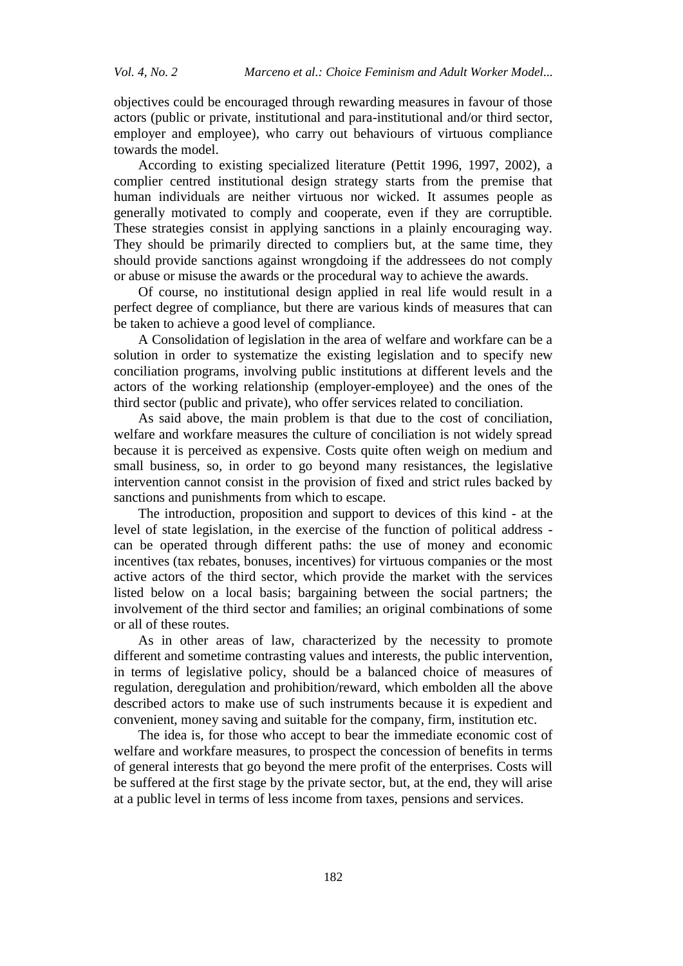objectives could be encouraged through rewarding measures in favour of those actors (public or private, institutional and para-institutional and/or third sector, employer and employee), who carry out behaviours of virtuous compliance towards the model.

According to existing specialized literature (Pettit 1996, 1997, 2002), a complier centred institutional design strategy starts from the premise that human individuals are neither virtuous nor wicked. It assumes people as generally motivated to comply and cooperate, even if they are corruptible. These strategies consist in applying sanctions in a plainly encouraging way. They should be primarily directed to compliers but, at the same time, they should provide sanctions against wrongdoing if the addressees do not comply or abuse or misuse the awards or the procedural way to achieve the awards.

Of course, no institutional design applied in real life would result in a perfect degree of compliance, but there are various kinds of measures that can be taken to achieve a good level of compliance.

A Consolidation of legislation in the area of welfare and workfare can be a solution in order to systematize the existing legislation and to specify new conciliation programs, involving public institutions at different levels and the actors of the working relationship (employer-employee) and the ones of the third sector (public and private), who offer services related to conciliation.

As said above, the main problem is that due to the cost of conciliation, welfare and workfare measures the culture of conciliation is not widely spread because it is perceived as expensive. Costs quite often weigh on medium and small business, so, in order to go beyond many resistances, the legislative intervention cannot consist in the provision of fixed and strict rules backed by sanctions and punishments from which to escape.

The introduction, proposition and support to devices of this kind - at the level of state legislation, in the exercise of the function of political address can be operated through different paths: the use of money and economic incentives (tax rebates, bonuses, incentives) for virtuous companies or the most active actors of the third sector, which provide the market with the services listed below on a local basis; bargaining between the social partners; the involvement of the third sector and families; an original combinations of some or all of these routes.

As in other areas of law, characterized by the necessity to promote different and sometime contrasting values and interests, the public intervention, in terms of legislative policy, should be a balanced choice of measures of regulation, deregulation and prohibition/reward, which embolden all the above described actors to make use of such instruments because it is expedient and convenient, money saving and suitable for the company, firm, institution etc.

The idea is, for those who accept to bear the immediate economic cost of welfare and workfare measures, to prospect the concession of benefits in terms of general interests that go beyond the mere profit of the enterprises. Costs will be suffered at the first stage by the private sector, but, at the end, they will arise at a public level in terms of less income from taxes, pensions and services.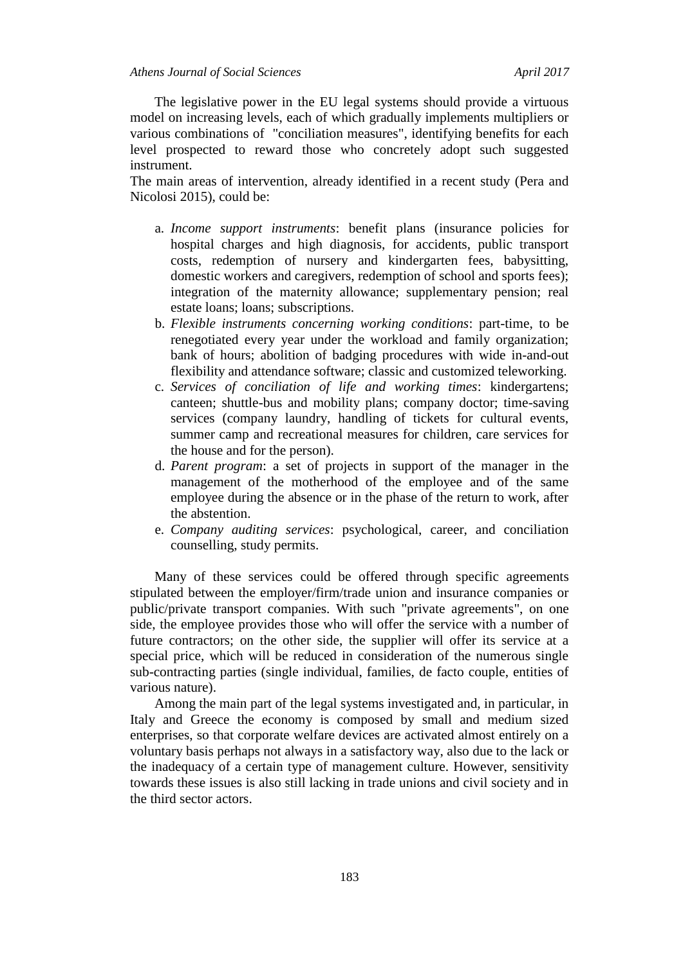The legislative power in the EU legal systems should provide a virtuous model on increasing levels, each of which gradually implements multipliers or various combinations of "conciliation measures", identifying benefits for each level prospected to reward those who concretely adopt such suggested instrument.

The main areas of intervention, already identified in a recent study (Pera and Nicolosi 2015), could be:

- a. *Income support instruments*: benefit plans (insurance policies for hospital charges and high diagnosis, for accidents, public transport costs, redemption of nursery and kindergarten fees, babysitting, domestic workers and caregivers, redemption of school and sports fees); integration of the maternity allowance; supplementary pension; real estate loans; loans; subscriptions.
- b. *Flexible instruments concerning working conditions*: part-time, to be renegotiated every year under the workload and family organization; bank of hours; abolition of badging procedures with wide in-and-out flexibility and attendance software; classic and customized teleworking.
- c. *Services of conciliation of life and working times*: kindergartens; canteen; shuttle-bus and mobility plans; company doctor; time-saving services (company laundry, handling of tickets for cultural events, summer camp and recreational measures for children, care services for the house and for the person).
- d. *Parent program*: a set of projects in support of the manager in the management of the motherhood of the employee and of the same employee during the absence or in the phase of the return to work, after the abstention.
- e. *Company auditing services*: psychological, career, and conciliation counselling, study permits.

Many of these services could be offered through specific agreements stipulated between the employer/firm/trade union and insurance companies or public/private transport companies. With such "private agreements", on one side, the employee provides those who will offer the service with a number of future contractors; on the other side, the supplier will offer its service at a special price, which will be reduced in consideration of the numerous single sub-contracting parties (single individual, families, de facto couple, entities of various nature).

Among the main part of the legal systems investigated and, in particular, in Italy and Greece the economy is composed by small and medium sized enterprises, so that corporate welfare devices are activated almost entirely on a voluntary basis perhaps not always in a satisfactory way, also due to the lack or the inadequacy of a certain type of management culture. However, sensitivity towards these issues is also still lacking in trade unions and civil society and in the third sector actors.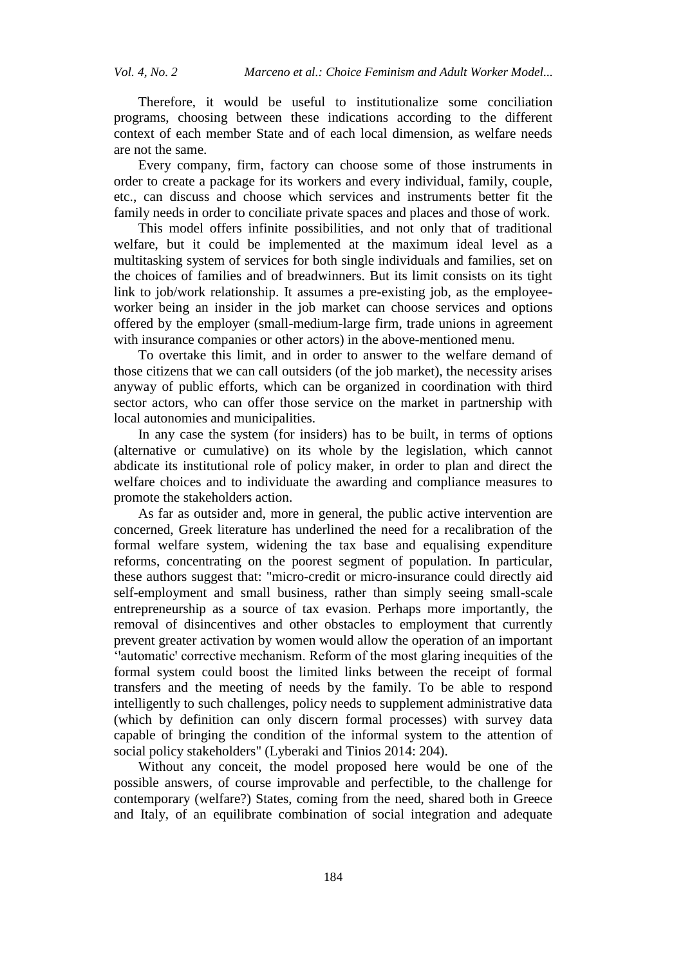Therefore, it would be useful to institutionalize some conciliation programs, choosing between these indications according to the different context of each member State and of each local dimension, as welfare needs are not the same.

Every company, firm, factory can choose some of those instruments in order to create a package for its workers and every individual, family, couple, etc., can discuss and choose which services and instruments better fit the family needs in order to conciliate private spaces and places and those of work.

This model offers infinite possibilities, and not only that of traditional welfare, but it could be implemented at the maximum ideal level as a multitasking system of services for both single individuals and families, set on the choices of families and of breadwinners. But its limit consists on its tight link to job/work relationship. It assumes a pre-existing job, as the employeeworker being an insider in the job market can choose services and options offered by the employer (small-medium-large firm, trade unions in agreement with insurance companies or other actors) in the above-mentioned menu.

To overtake this limit, and in order to answer to the welfare demand of those citizens that we can call outsiders (of the job market), the necessity arises anyway of public efforts, which can be organized in coordination with third sector actors, who can offer those service on the market in partnership with local autonomies and municipalities.

In any case the system (for insiders) has to be built, in terms of options (alternative or cumulative) on its whole by the legislation, which cannot abdicate its institutional role of policy maker, in order to plan and direct the welfare choices and to individuate the awarding and compliance measures to promote the stakeholders action.

As far as outsider and, more in general, the public active intervention are concerned, Greek literature has underlined the need for a recalibration of the formal welfare system, widening the tax base and equalising expenditure reforms, concentrating on the poorest segment of population. In particular, these authors suggest that: "micro-credit or micro-insurance could directly aid self-employment and small business, rather than simply seeing small-scale entrepreneurship as a source of tax evasion. Perhaps more importantly, the removal of disincentives and other obstacles to employment that currently prevent greater activation by women would allow the operation of an important 'ꞌautomaticꞌ corrective mechanism. Reform of the most glaring inequities of the formal system could boost the limited links between the receipt of formal transfers and the meeting of needs by the family. To be able to respond intelligently to such challenges, policy needs to supplement administrative data (which by definition can only discern formal processes) with survey data capable of bringing the condition of the informal system to the attention of social policy stakeholders" (Lyberaki and Tinios 2014: 204).

Without any conceit, the model proposed here would be one of the possible answers, of course improvable and perfectible, to the challenge for contemporary (welfare?) States, coming from the need, shared both in Greece and Italy, of an equilibrate combination of social integration and adequate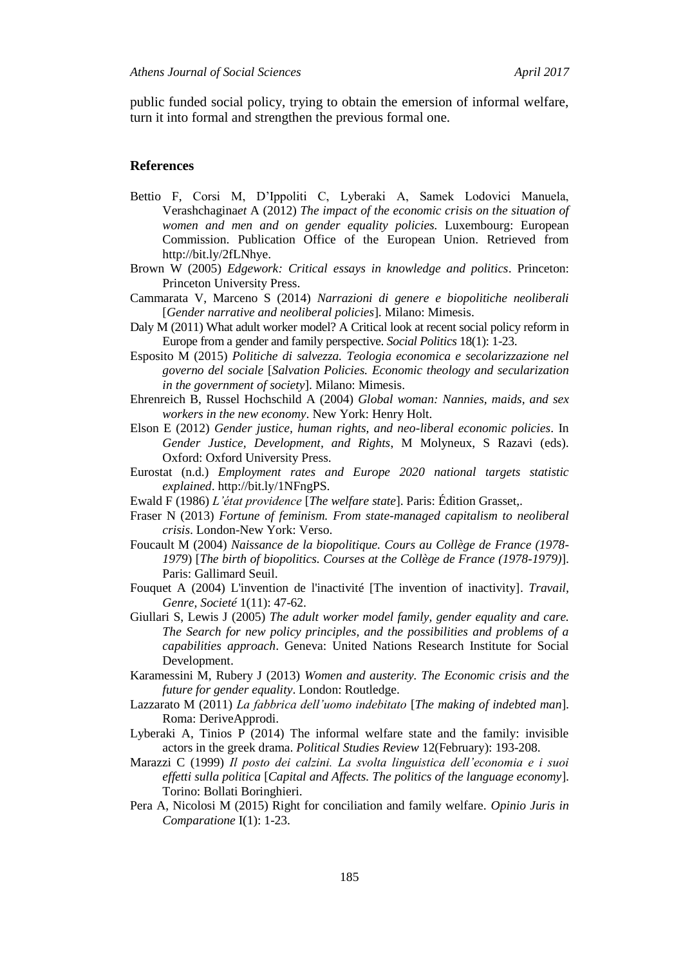public funded social policy, trying to obtain the emersion of informal welfare, turn it into formal and strengthen the previous formal one.

#### **References**

- Bettio F, Corsi M, D'Ippoliti C, Lyberaki A, Samek Lodovici Manuela, Verashchagina*et* A (2012) *The impact of the economic crisis on the situation of women and men and on gender equality policies.* Luxembourg: European Commission. Publication Office of the European Union. Retrieved from http://bit.ly/2fLNhye.
- Brown W (2005) *Edgework: Critical essays in knowledge and politics*. Princeton: Princeton University Press.
- Cammarata V, Marceno S (2014) *Narrazioni di genere e biopolitiche neoliberali* [*Gender narrative and neoliberal policies*]. Milano: Mimesis.
- Daly M (2011) What adult worker model? A Critical look at recent social policy reform in Europe from a gender and family perspective. *Social Politics* 18(1): 1-23.
- Esposito M (2015) *Politiche di salvezza. Teologia economica e secolarizzazione nel governo del sociale* [*Salvation Policies. Economic theology and secularization in the government of society*]. Milano: Mimesis.
- Ehrenreich B, Russel Hochschild A (2004) *Global woman: Nannies, maids, and sex workers in the new economy*. New York: Henry Holt.
- Elson E (2012) *Gender justice, human rights, and neo-liberal economic policies*. In *Gender Justice, Development, and Rights*, M Molyneux, S Razavi (eds). Oxford: Oxford University Press.
- Eurostat (n.d.) *Employment rates and Europe 2020 national targets statistic explained*. http://bit.ly/1NFngPS.
- Ewald F (1986) *L'état providence* [*The welfare state*]. Paris: Édition Grasset,.
- Fraser N (2013) *Fortune of feminism. From state-managed capitalism to neoliberal crisis*. London-New York: Verso.
- Foucault M (2004) *Naissance de la biopolitique. Cours au Collège de France (1978- 1979*) [*The birth of biopolitics. Courses at the Collège de France (1978-1979)*]. Paris: Gallimard Seuil.
- Fouquet A (2004) L'invention de l'inactivité [The invention of inactivity]. *Travail, Genre, Societé* 1(11): 47-62.
- Giullari S, Lewis J (2005) *The adult worker model family, gender equality and care. The Search for new policy principles, and the possibilities and problems of a capabilities approach*. Geneva: United Nations Research Institute for Social Development.
- Karamessini M, Rubery J (2013) *Women and austerity. The Economic crisis and the future for gender equality*. London: Routledge.
- Lazzarato M (2011) *La fabbrica dell'uomo indebitato* [*The making of indebted man*]. Roma: DeriveApprodi.
- Lyberaki A, Tinios P (2014) The informal welfare state and the family: invisible actors in the greek drama. *Political Studies Review* 12(February): 193-208.
- Marazzi C (1999) *Il posto dei calzini. La svolta linguistica dell'economia e i suoi effetti sulla politica* [*Capital and Affects. The politics of the language economy*]. Torino: Bollati Boringhieri.
- Pera A, Nicolosi M (2015) Right for conciliation and family welfare. *Opinio Juris in Comparatione* I(1): 1-23.